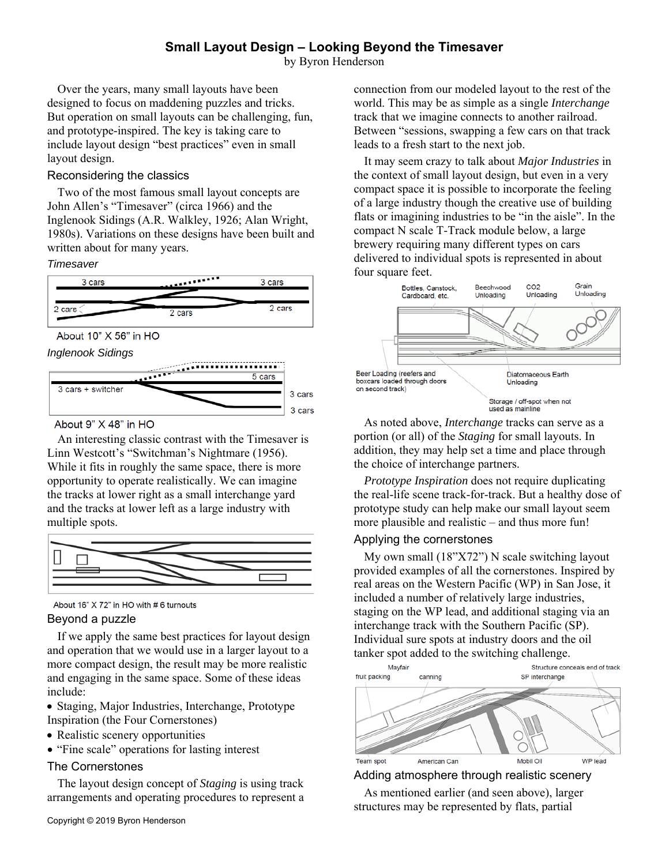# **Small Layout Design – Looking Beyond the Timesaver**

by Byron Henderson

Over the years, many small layouts have been designed to focus on maddening puzzles and tricks. But operation on small layouts can be challenging, fun, and prototype-inspired. The key is taking care to include layout design "best practices" even in small layout design.

### Reconsidering the classics

Two of the most famous small layout concepts are John Allen's "Timesaver" (circa 1966) and the Inglenook Sidings (A.R. Walkley, 1926; Alan Wright, 1980s). Variations on these designs have been built and written about for many years.

#### *Timesaver*









About 9" X 48" in HO

An interesting classic contrast with the Timesaver is Linn Westcott's "Switchman's Nightmare (1956). While it fits in roughly the same space, there is more opportunity to operate realistically. We can imagine the tracks at lower right as a small interchange yard and the tracks at lower left as a large industry with multiple spots.



About 16" X 72" in HO with # 6 turnouts

## Beyond a puzzle

If we apply the same best practices for layout design and operation that we would use in a larger layout to a more compact design, the result may be more realistic and engaging in the same space. Some of these ideas include:

• Staging, Major Industries, Interchange, Prototype Inspiration (the Four Cornerstones)

- Realistic scenery opportunities
- "Fine scale" operations for lasting interest

## The Cornerstones

The layout design concept of *Staging* is using track arrangements and operating procedures to represent a connection from our modeled layout to the rest of the world. This may be as simple as a single *Interchange* track that we imagine connects to another railroad. Between "sessions, swapping a few cars on that track leads to a fresh start to the next job.

It may seem crazy to talk about *Major Industries* in the context of small layout design, but even in a very compact space it is possible to incorporate the feeling of a large industry though the creative use of building flats or imagining industries to be "in the aisle". In the compact N scale T-Track module below, a large brewery requiring many different types on cars delivered to individual spots is represented in about four square feet.



As noted above, *Interchange* tracks can serve as a portion (or all) of the *Staging* for small layouts. In addition, they may help set a time and place through the choice of interchange partners.

*Prototype Inspiration* does not require duplicating the real-life scene track-for-track. But a healthy dose of prototype study can help make our small layout seem more plausible and realistic – and thus more fun!

## Applying the cornerstones

My own small (18"X72") N scale switching layout provided examples of all the cornerstones. Inspired by real areas on the Western Pacific (WP) in San Jose, it included a number of relatively large industries, staging on the WP lead, and additional staging via an interchange track with the Southern Pacific (SP). Individual sure spots at industry doors and the oil tanker spot added to the switching challenge.



Adding atmosphere through realistic scenery

As mentioned earlier (and seen above), larger structures may be represented by flats, partial